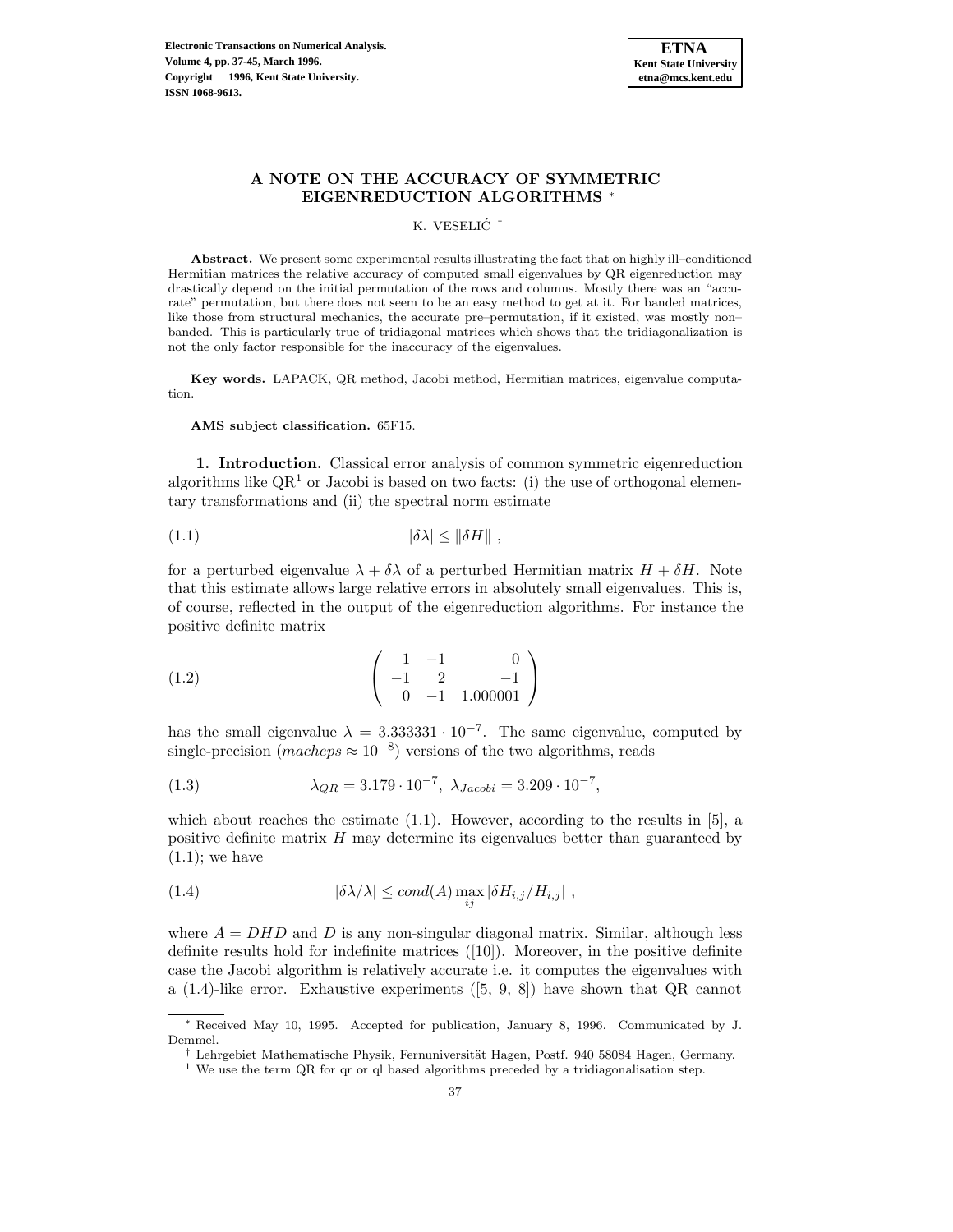

# **A NOTE ON THE ACCURACY OF SYMMETRIC EIGENREDUCTION ALGORITHMS** <sup>∗</sup>

K. VESELIC´ †

**Abstract.** We present some experimental results illustrating the fact that on highly ill–conditioned Hermitian matrices the relative accuracy of computed small eigenvalues by QR eigenreduction may drastically depend on the initial permutation of the rows and columns. Mostly there was an "accurate" permutation, but there does not seem to be an easy method to get at it. For banded matrices, like those from structural mechanics, the accurate pre–permutation, if it existed, was mostly non– banded. This is particularly true of tridiagonal matrices which shows that the tridiagonalization is not the only factor responsible for the inaccuracy of the eigenvalues.

**Key words.** LAPACK, QR method, Jacobi method, Hermitian matrices, eigenvalue computation.

**AMS subject classification.** 65F15.

**1. Introduction.** Classical error analysis of common symmetric eigenreduction algorithms like  $\mathbb{Q}R^1$  or Jacobi is based on two facts: (i) the use of orthogonal elementary transformations and (ii) the spectral norm estimate

$$
(1.1) \t\t |\delta\lambda| \leq \|\delta H\|,
$$

for a perturbed eigenvalue  $\lambda + \delta \lambda$  of a perturbed Hermitian matrix  $H + \delta H$ . Note that this estimate allows large relative errors in absolutely small eigenvalues. This is, of course, reflected in the output of the eigenreduction algorithms. For instance the positive definite matrix

$$
(1.2) \qquad \begin{pmatrix} 1 & -1 & 0 \\ -1 & 2 & -1 \\ 0 & -1 & 1.000001 \end{pmatrix}
$$

has the small eigenvalue  $\lambda = 3.333331 \cdot 10^{-7}$ . The same eigenvalue, computed by single-precision (macheps  $\approx 10^{-8}$ ) versions of the two algorithms, reads

(1.3) 
$$
\lambda_{QR} = 3.179 \cdot 10^{-7}, \lambda_{Jacobi} = 3.209 \cdot 10^{-7},
$$

which about reaches the estimate  $(1.1)$ . However, according to the results in [5], a positive definite matrix  $H$  may determine its eigenvalues better than guaranteed by  $(1.1)$ ; we have

(1.4) 
$$
|\delta \lambda/\lambda| \leq cond(A) \max_{ij} |\delta H_{i,j}/H_{i,j}|,
$$

where  $A = DHD$  and D is any non-singular diagonal matrix. Similar, although less definite results hold for indefinite matrices  $([10])$ . Moreover, in the positive definite case the Jacobi algorithm is relatively accurate i.e. it computes the eigenvalues with a (1.4)-like error. Exhaustive experiments ([5, 9, 8]) have shown that QR cannot

<sup>∗</sup> Received May 10, 1995. Accepted for publication, January 8, 1996. Communicated by J. Demmel.

<sup>&</sup>lt;sup>†</sup> Lehrgebiet Mathematische Physik, Fernuniversität Hagen, Postf. 940 58084 Hagen, Germany.

<sup>1</sup> We use the term QR for qr or ql based algorithms preceded by a tridiagonalisation step.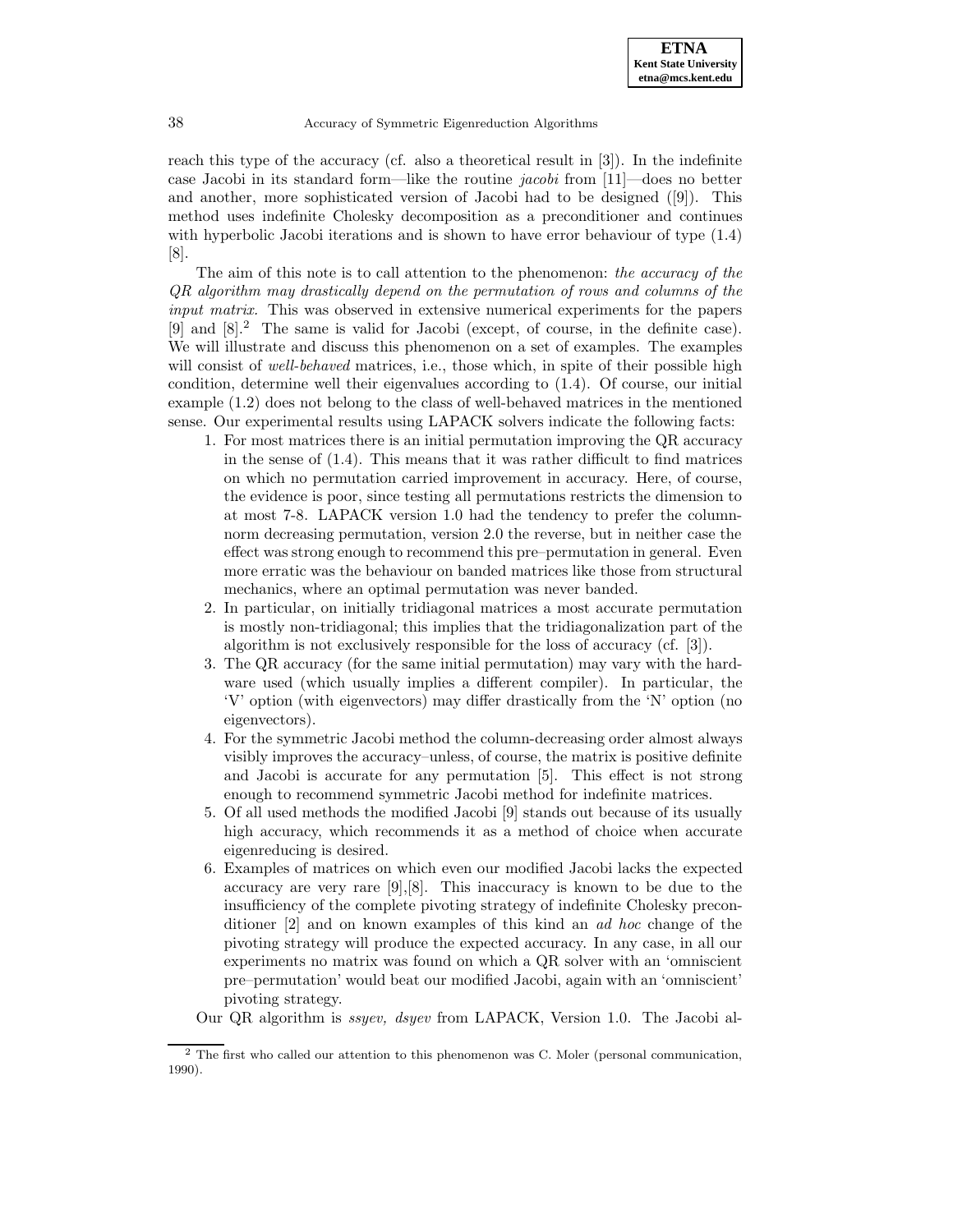reach this type of the accuracy (cf. also a theoretical result in [3]). In the indefinite case Jacobi in its standard form—like the routine *jacobi* from  $[11]$ —does no better and another, more sophisticated version of Jacobi had to be designed ([9]). This method uses indefinite Cholesky decomposition as a preconditioner and continues with hyperbolic Jacobi iterations and is shown to have error behaviour of type (1.4) [8].

The aim of this note is to call attention to the phenomenon: the accuracy of the QR algorithm may drastically depend on the permutation of rows and columns of the input matrix. This was observed in extensive numerical experiments for the papers [9] and [8].<sup>2</sup> The same is valid for Jacobi (except, of course, in the definite case). We will illustrate and discuss this phenomenon on a set of examples. The examples will consist of *well-behaved* matrices, i.e., those which, in spite of their possible high condition, determine well their eigenvalues according to (1.4). Of course, our initial example (1.2) does not belong to the class of well-behaved matrices in the mentioned sense. Our experimental results using LAPACK solvers indicate the following facts:

- 1. For most matrices there is an initial permutation improving the QR accuracy in the sense of  $(1.4)$ . This means that it was rather difficult to find matrices on which no permutation carried improvement in accuracy. Here, of course, the evidence is poor, since testing all permutations restricts the dimension to at most 7-8. LAPACK version 1.0 had the tendency to prefer the columnnorm decreasing permutation, version 2.0 the reverse, but in neither case the effect was strong enough to recommend this pre–permutation in general. Even more erratic was the behaviour on banded matrices like those from structural mechanics, where an optimal permutation was never banded.
- 2. In particular, on initially tridiagonal matrices a most accurate permutation is mostly non-tridiagonal; this implies that the tridiagonalization part of the algorithm is not exclusively responsible for the loss of accuracy (cf. [3]).
- 3. The QR accuracy (for the same initial permutation) may vary with the hardware used (which usually implies a different compiler). In particular, the 'V' option (with eigenvectors) may differ drastically from the 'N' option (no eigenvectors).
- 4. For the symmetric Jacobi method the column-decreasing order almost always visibly improves the accuracy–unless, of course, the matrix is positive definite and Jacobi is accurate for any permutation [5]. This effect is not strong enough to recommend symmetric Jacobi method for indefinite matrices.
- 5. Of all used methods the modified Jacobi [9] stands out because of its usually high accuracy, which recommends it as a method of choice when accurate eigenreducing is desired.
- 6. Examples of matrices on which even our modified Jacobi lacks the expected accuracy are very rare  $[9], [8]$ . This inaccuracy is known to be due to the insufficiency of the complete pivoting strategy of indefinite Cholesky preconditioner [2] and on known examples of this kind an ad hoc change of the pivoting strategy will produce the expected accuracy. In any case, in all our experiments no matrix was found on which a QR solver with an 'omniscient pre–permutation' would beat our modified Jacobi, again with an 'omniscient' pivoting strategy.

Our QR algorithm is ssyev, dsyev from LAPACK, Version 1.0. The Jacobi al-

 $2$  The first who called our attention to this phenomenon was C. Moler (personal communication, 1990).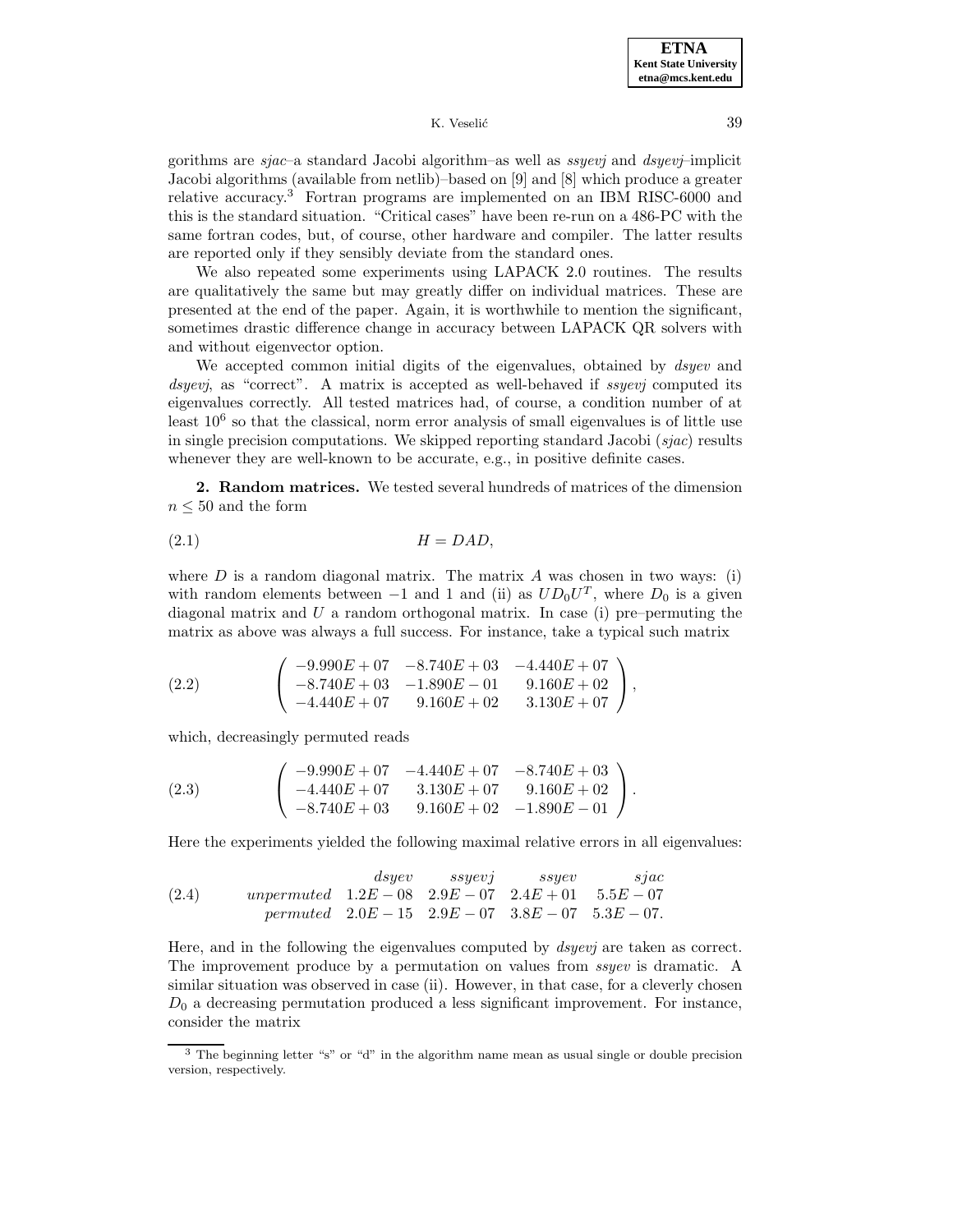gorithms are  $space$ -a standard Jacobi algorithm–as well as  $ssyevj$  and  $dsyevj$ –implicit Jacobi algorithms (available from netlib)–based on [9] and [8] which produce a greater relative accuracy.<sup>3</sup> Fortran programs are implemented on an IBM RISC-6000 and this is the standard situation. "Critical cases" have been re-run on a 486-PC with the same fortran codes, but, of course, other hardware and compiler. The latter results are reported only if they sensibly deviate from the standard ones.

We also repeated some experiments using LAPACK 2.0 routines. The results are qualitatively the same but may greatly differ on individual matrices. These are presented at the end of the paper. Again, it is worthwhile to mention the significant, sometimes drastic difference change in accuracy between LAPACK QR solvers with and without eigenvector option.

We accepted common initial digits of the eigenvalues, obtained by *dsyev* and dsyevj, as "correct". A matrix is accepted as well-behaved if ssyevj computed its eigenvalues correctly. All tested matrices had, of course, a condition number of at least  $10<sup>6</sup>$  so that the classical, norm error analysis of small eigenvalues is of little use in single precision computations. We skipped reporting standard Jacobi  $(sjac)$  results whenever they are well-known to be accurate, e.g., in positive definite cases.

**2. Random matrices.** We tested several hundreds of matrices of the dimension  $n \leq 50$  and the form

(2.1) H = DAD,

where  $D$  is a random diagonal matrix. The matrix  $A$  was chosen in two ways: (i) with random elements between  $-1$  and 1 and (ii) as  $UD_0U^T$ , where  $D_0$  is a given diagonal matrix and  $U$  a random orthogonal matrix. In case (i) pre–permuting the matrix as above was always a full success. For instance, take a typical such matrix

(2.2) 
$$
\begin{pmatrix} -9.990E + 07 & -8.740E + 03 & -4.440E + 07 \ -8.740E + 03 & -1.890E - 01 & 9.160E + 02 \ -4.440E + 07 & 9.160E + 02 & 3.130E + 07 \end{pmatrix},
$$

which, decreasingly permuted reads

(2.3) 
$$
\begin{pmatrix} -9.990E + 07 & -4.440E + 07 & -8.740E + 03 \ -4.440E + 07 & 3.130E + 07 & 9.160E + 02 \ -8.740E + 03 & 9.160E + 02 & -1.890E - 01 \end{pmatrix}.
$$

Here the experiments yielded the following maximal relative errors in all eigenvalues:

(2.4) *disgev ssyev ssyev size*  
\n*unpermuted* 
$$
1.2E - 08
$$
  $2.9E - 07$   $2.4E + 01$   $5.5E - 07$   
\n*permuted*  $2.0E - 15$   $2.9E - 07$   $3.8E - 07$   $5.3E - 07$ .

Here, and in the following the eigenvalues computed by *dsyevj* are taken as correct. The improvement produce by a permutation on values from *ssyev* is dramatic. A similar situation was observed in case (ii). However, in that case, for a cleverly chosen  $D_0$  a decreasing permutation produced a less significant improvement. For instance, consider the matrix

<sup>&</sup>lt;sup>3</sup> The beginning letter "s" or "d" in the algorithm name mean as usual single or double precision version, respectively.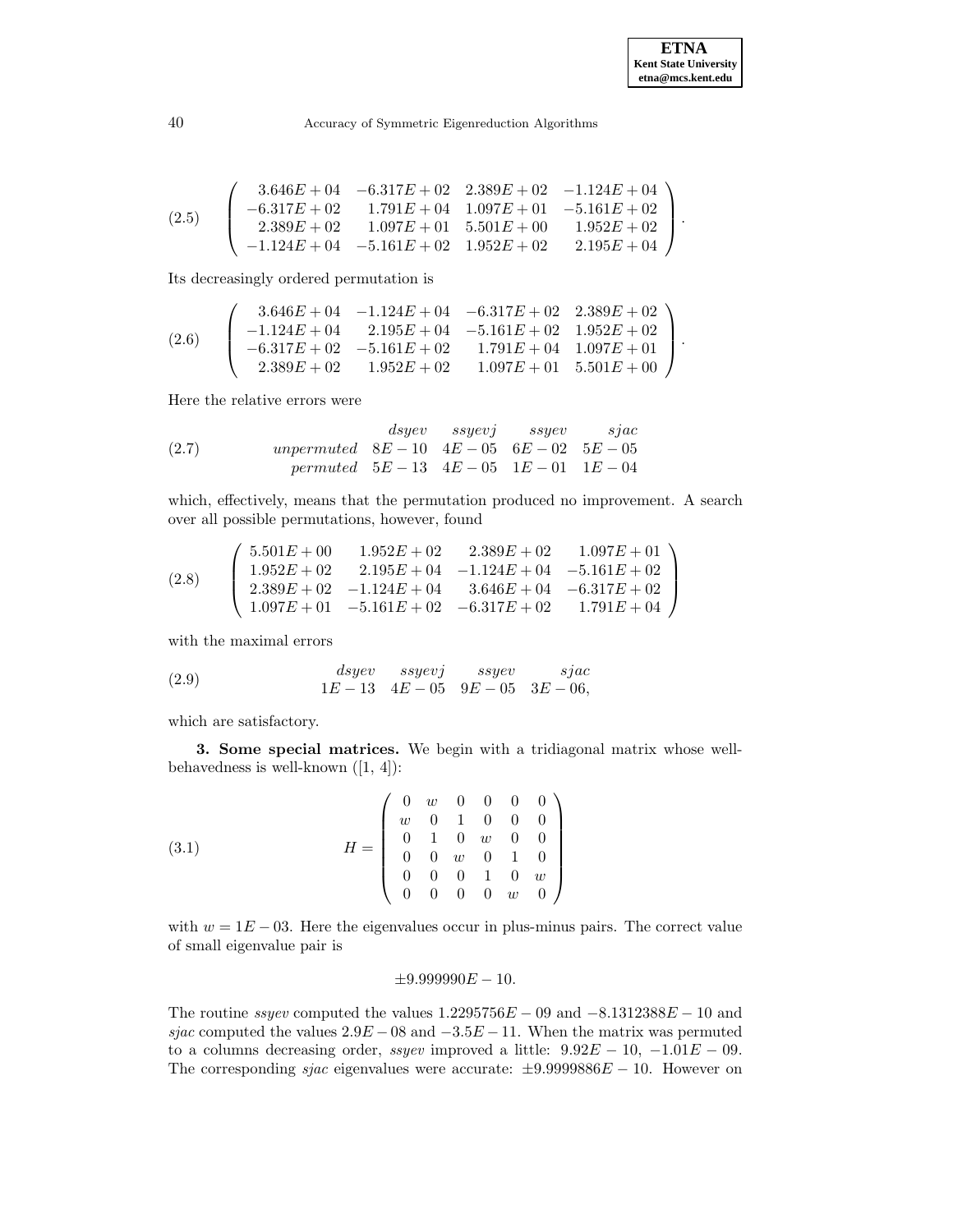$$
(2.5) \quad\n\begin{pmatrix}\n3.646E + 04 & -6.317E + 02 & 2.389E + 02 & -1.124E + 04 \\
-6.317E + 02 & 1.791E + 04 & 1.097E + 01 & -5.161E + 02 \\
2.389E + 02 & 1.097E + 01 & 5.501E + 00 & 1.952E + 02 \\
-1.124E + 04 & -5.161E + 02 & 1.952E + 02 & 2.195E + 04\n\end{pmatrix}.
$$

Its decreasingly ordered permutation is

$$
(2.6) \quad\n\begin{pmatrix}\n3.646E + 04 & -1.124E + 04 & -6.317E + 02 & 2.389E + 02 \\
-1.124E + 04 & 2.195E + 04 & -5.161E + 02 & 1.952E + 02 \\
-6.317E + 02 & -5.161E + 02 & 1.791E + 04 & 1.097E + 01 \\
2.389E + 02 & 1.952E + 02 & 1.097E + 01 & 5.501E + 00\n\end{pmatrix}.
$$

Here the relative errors were

(2.7) *disyev ssyev ssyev sjac*  
\n(2.7) *unpermuted* 
$$
8E - 10
$$
  $4E - 05$   $6E - 02$   $5E - 05$   
\n*permuted*  $5E - 13$   $4E - 05$   $1E - 01$   $1E - 04$ 

which, effectively, means that the permutation produced no improvement. A search over all possible permutations, however, found

$$
(2.8) \quad\n\begin{pmatrix}\n5.501E + 00 & 1.952E + 02 & 2.389E + 02 & 1.097E + 01 \\
1.952E + 02 & 2.195E + 04 & -1.124E + 04 & -5.161E + 02 \\
2.389E + 02 & -1.124E + 04 & 3.646E + 04 & -6.317E + 02 \\
1.097E + 01 & -5.161E + 02 & -6.317E + 02 & 1.791E + 04\n\end{pmatrix}
$$

with the maximal errors

(2.9) 
$$
dsyev\t\quad ssyevj\t\quad ssyev\t\quad sjac\n1E-13\t4E-05\t9E-05\t3E-06,
$$

which are satisfactory.

**3. Some special matrices.** We begin with a tridiagonal matrix whose wellbehavedness is well-known  $([1, 4])$ :

(3.1) 
$$
H = \left(\begin{array}{cccccc} 0 & w & 0 & 0 & 0 & 0 \\ w & 0 & 1 & 0 & 0 & 0 \\ 0 & 1 & 0 & w & 0 & 0 \\ 0 & 0 & w & 0 & 1 & 0 \\ 0 & 0 & 0 & 1 & 0 & w \\ 0 & 0 & 0 & 0 & w & 0 \end{array}\right)
$$

with  $w = 1E - 03$ . Here the eigenvalues occur in plus-minus pairs. The correct value of small eigenvalue pair is

## $\pm 9.999990E - 10.$

The routine ssyev computed the values  $1.2295756E - 09$  and  $-8.1312388E - 10$  and sjac computed the values  $2.9E - 08$  and  $-3.5E - 11$ . When the matrix was permuted to a columns decreasing order, ssyev improved a little:  $9.92E - 10$ ,  $-1.01E - 09$ . The corresponding *sjac* eigenvalues were accurate:  $\pm 9.9999886E - 10$ . However on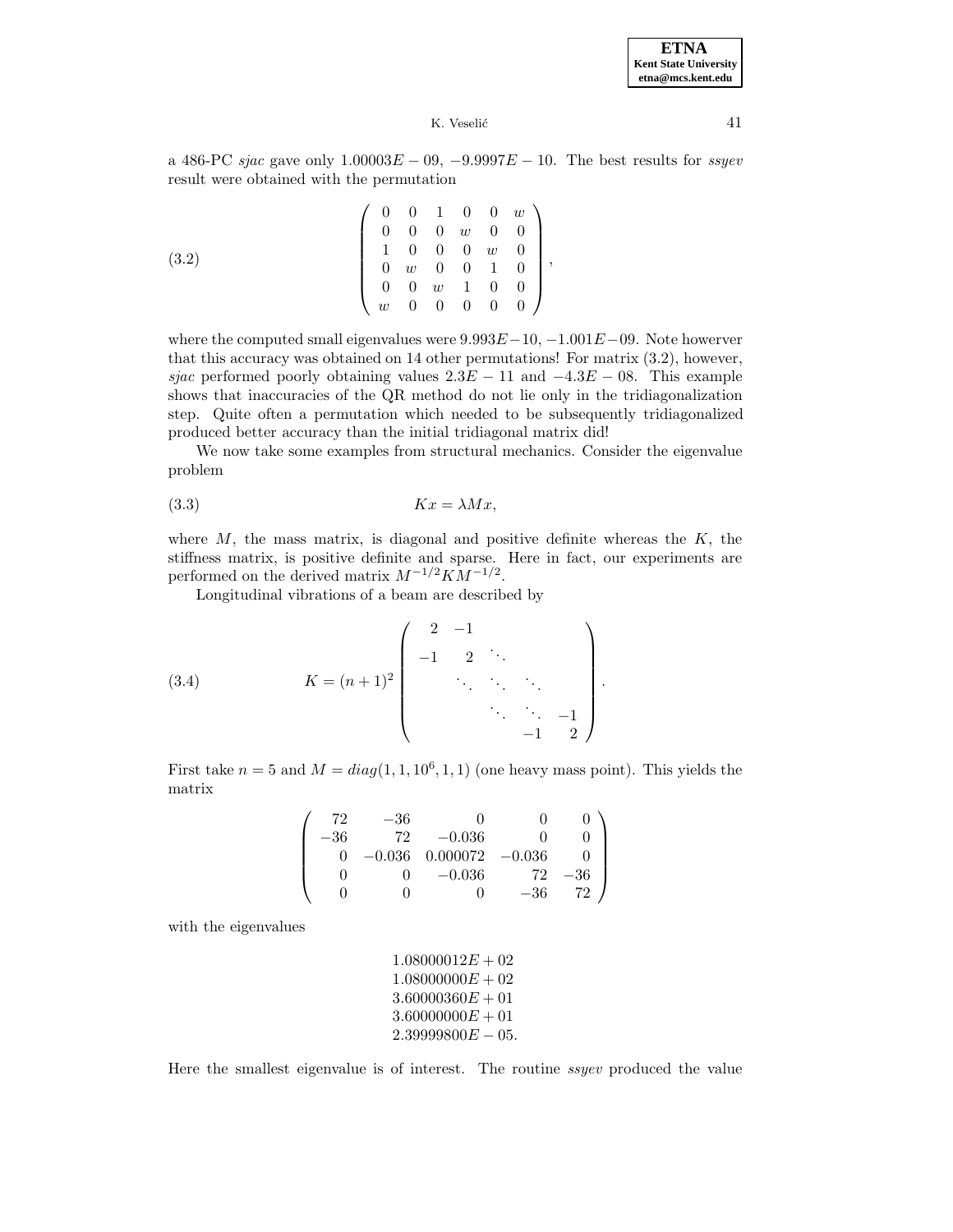

a 486-PC sjac gave only  $1.00003E - 09$ ,  $-9.9997E - 10$ . The best results for ssyev result were obtained with the permutation

$$
(3.2) \qquad \qquad \left(\begin{array}{cccccc} 0 & 0 & 1 & 0 & 0 & w \\ 0 & 0 & 0 & w & 0 & 0 \\ 1 & 0 & 0 & 0 & w & 0 \\ 0 & w & 0 & 0 & 1 & 0 \\ 0 & 0 & w & 1 & 0 & 0 \\ w & 0 & 0 & 0 & 0 & 0 \end{array}\right),
$$

where the computed small eigenvalues were  $9.993E-10$ ,  $-1.001E-09$ . Note howerver that this accuracy was obtained on 14 other permutations! For matrix (3.2), however, sjac performed poorly obtaining values  $2.3E - 11$  and  $-4.3E - 08$ . This example shows that inaccuracies of the QR method do not lie only in the tridiagonalization step. Quite often a permutation which needed to be subsequently tridiagonalized produced better accuracy than the initial tridiagonal matrix did!

We now take some examples from structural mechanics. Consider the eigenvalue problem

$$
(3.3) \t\t Kx = \lambda Mx,
$$

where  $M$ , the mass matrix, is diagonal and positive definite whereas the  $K$ , the stiffness matrix, is positive definite and sparse. Here in fact, our experiments are performed on the derived matrix  $M^{-1/2}KM^{-1/2}$ .

Longitudinal vibrations of a beam are described by

(3.4) 
$$
K = (n+1)^2 \begin{pmatrix} 2 & -1 & & & \\ -1 & 2 & \ddots & & \\ & \ddots & \ddots & \ddots & \\ & & \ddots & \ddots & -1 \\ & & & -1 & 2 \end{pmatrix}.
$$

First take  $n = 5$  and  $M = diag(1, 1, 10^6, 1, 1)$  (one heavy mass point). This yields the matrix

$$
\left(\begin{array}{cccccc}72 & -36 & 0 & 0 & 0 \\-36 & 72 & -0.036 & 0 & 0 \\0 & -0.036 & 0.000072 & -0.036 & 0 \\0 & 0 & -0.036 & 72 & -36 \\0 & 0 & 0 & -36 & 72\end{array}\right)
$$

with the eigenvalues

$$
\begin{array}{c} 1.08000012E+02 \\ 1.08000000E+02 \\ 3.60000360E+01 \\ 3.60000000E+01 \\ 2.3999800E-05. \end{array}
$$

Here the smallest eigenvalue is of interest. The routine ssyev produced the value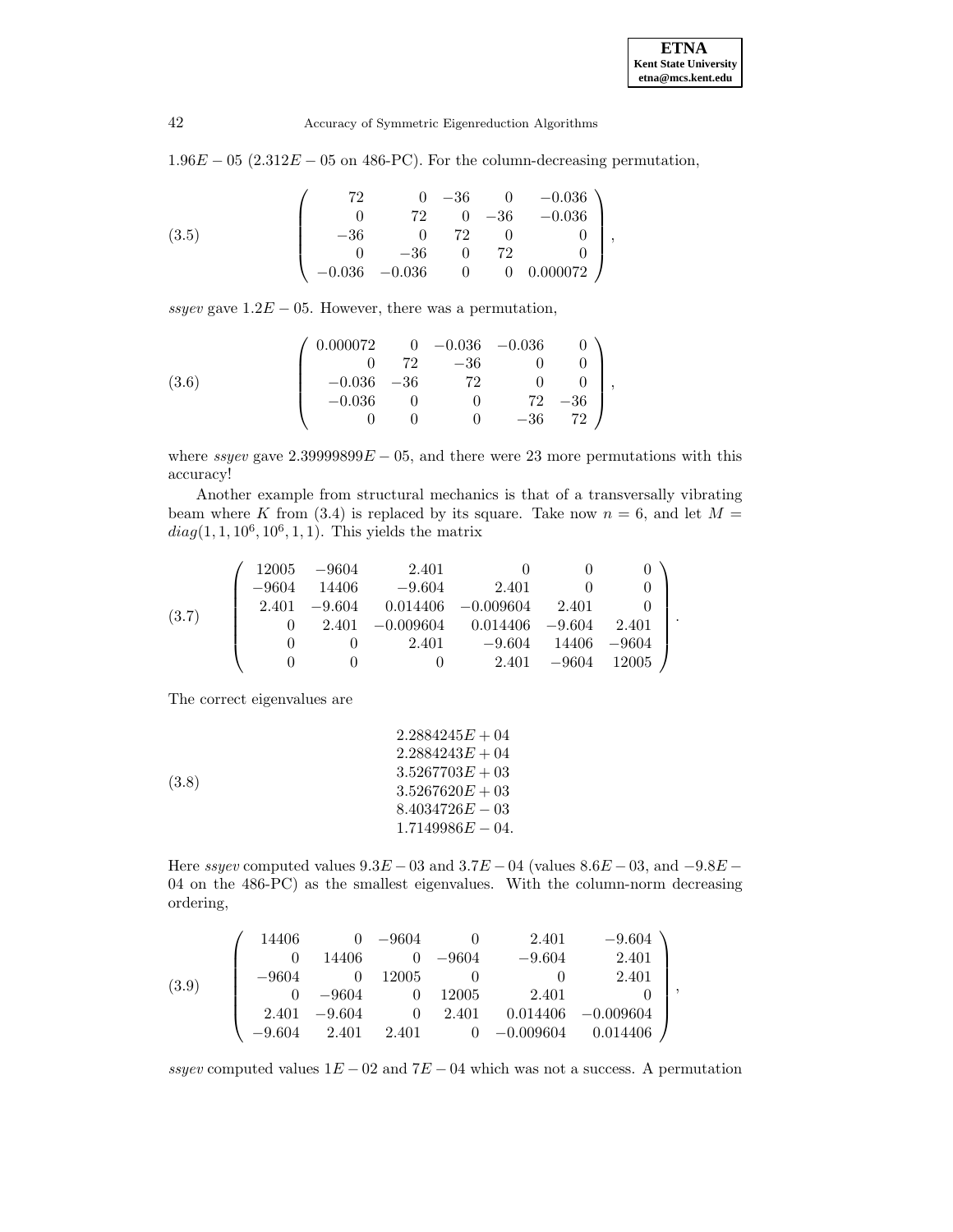$1.96E - 05$  (2.312 $E - 05$  on 486-PC). For the column-decreasing permutation,

$$
(3.5) \qquad \begin{pmatrix} 72 & 0 & -36 & 0 & -0.036 \\ 0 & 72 & 0 & -36 & -0.036 \\ -36 & 0 & 72 & 0 & 0 \\ 0 & -36 & 0 & 72 & 0 \\ -0.036 & -0.036 & 0 & 0 & 0.000072 \end{pmatrix},
$$

ssyev gave  $1.2E - 05$ . However, there was a permutation,

$$
(3.6) \qquad \qquad \begin{pmatrix} 0.000072 & 0 & -0.036 & -0.036 & 0 \\ 0 & 72 & -36 & 0 & 0 \\ -0.036 & -36 & 72 & 0 & 0 \\ -0.036 & 0 & 0 & 72 & -36 \\ 0 & 0 & 0 & -36 & 72 \end{pmatrix},
$$

where ssyev gave  $2.39999899E - 05$ , and there were 23 more permutations with this accuracy!

Another example from structural mechanics is that of a transversally vibrating beam where K from (3.4) is replaced by its square. Take now  $n = 6$ , and let  $M =$  $diag(1, 1, 10^6, 10^6, 1, 1)$ . This yields the matrix

$$
(3.7) \quad\n\begin{pmatrix}\n12005 & -9604 & 2.401 & 0 & 0 & 0 \\
-9604 & 14406 & -9.604 & 2.401 & 0 & 0 \\
2.401 & -9.604 & 0.014406 & -0.009604 & 2.401 & 0 \\
0 & 2.401 & -0.009604 & 0.014406 & -9.604 & 2.401 \\
0 & 0 & 2.401 & -9.604 & 14406 & -9604 \\
0 & 0 & 0 & 2.401 & -9604 & 12005\n\end{pmatrix}.
$$

The correct eigenvalues are

(3.8)  
\n
$$
2.2884245E + 04
$$
\n
$$
2.2884243E + 04
$$
\n
$$
3.5267703E + 03
$$
\n
$$
3.5267620E + 03
$$
\n
$$
8.4034726E - 03
$$
\n
$$
1.7149986E - 04.
$$

Here ssyev computed values  $9.3E - 03$  and  $3.7E - 04$  (values  $8.6E - 03$ , and  $-9.8E - 03$ ) 04 on the 486-PC) as the smallest eigenvalues. With the column-norm decreasing ordering,

$$
(3.9) \quad \left(\begin{array}{cccccc} 14406 & 0 & -9604 & 0 & 2.401 & -9.604 \\ 0 & 14406 & 0 & -9604 & -9.604 & 2.401 \\ -9604 & 0 & 12005 & 0 & 0 & 2.401 \\ 0 & -9604 & 0 & 12005 & 2.401 & 0 \\ 2.401 & -9.604 & 0 & 2.401 & 0.014406 & -0.009604 \\ -9.604 & 2.401 & 2.401 & 0 & -0.009604 & 0.014406 \end{array}\right),
$$

ssyev computed values  $1E - 02$  and  $7E - 04$  which was not a success. A permutation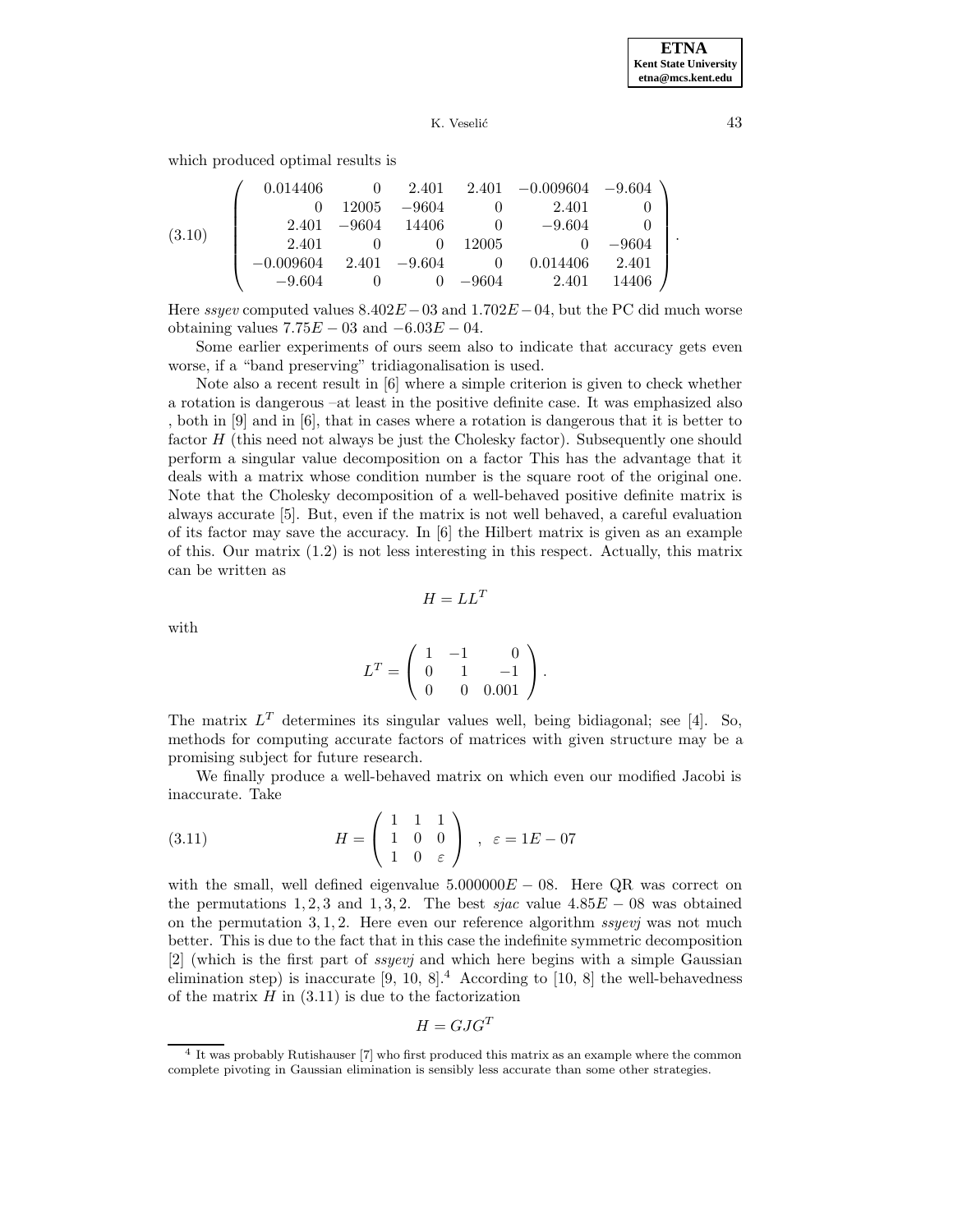which produced optimal results is

|        | 0.014406    |         | 2.401    |         | $2.401 -0.009604 -9.604$ |         |  |
|--------|-------------|---------|----------|---------|--------------------------|---------|--|
| (3.10) |             | 12005   | $-9604$  |         | 2.401                    |         |  |
|        | 2.401       | $-9604$ | - 14406  |         | $-9.604$                 |         |  |
|        | 2.401       |         |          | 12005   |                          | $-9604$ |  |
|        | $-0.009604$ | 2.401   | $-9.604$ |         | 0.014406                 | 2.401   |  |
|        | $-9.604$    |         |          | $-9604$ | 2.401                    | 14406   |  |

Here ssyev computed values  $8.402E-03$  and  $1.702E-04$ , but the PC did much worse obtaining values  $7.75E - 03$  and  $-6.03E - 04$ .

Some earlier experiments of ours seem also to indicate that accuracy gets even worse, if a "band preserving" tridiagonalisation is used.

Note also a recent result in [6] where a simple criterion is given to check whether a rotation is dangerous –at least in the positive definite case. It was emphasized also , both in [9] and in [6], that in cases where a rotation is dangerous that it is better to factor  $H$  (this need not always be just the Cholesky factor). Subsequently one should perform a singular value decomposition on a factor This has the advantage that it deals with a matrix whose condition number is the square root of the original one. Note that the Cholesky decomposition of a well-behaved positive definite matrix is always accurate [5]. But, even if the matrix is not well behaved, a careful evaluation of its factor may save the accuracy. In [6] the Hilbert matrix is given as an example of this. Our matrix (1.2) is not less interesting in this respect. Actually, this matrix can be written as

$$
H = LL^T
$$

with

$$
L^T = \left(\begin{array}{rrr} 1 & -1 & 0 \\ 0 & 1 & -1 \\ 0 & 0 & 0.001 \end{array}\right).
$$

The matrix  $L^T$  determines its singular values well, being bidiagonal; see [4]. So, methods for computing accurate factors of matrices with given structure may be a promising subject for future research.

We finally produce a well-behaved matrix on which even our modified Jacobi is inaccurate. Take

(3.11) 
$$
H = \begin{pmatrix} 1 & 1 & 1 \\ 1 & 0 & 0 \\ 1 & 0 & \varepsilon \end{pmatrix} , \varepsilon = 1E - 07
$$

with the small, well defined eigenvalue  $5.000000E - 08$ . Here QR was correct on the permutations 1, 2, 3 and 1, 3, 2. The best sjac value  $4.85E - 08$  was obtained on the permutation  $3, 1, 2$ . Here even our reference algorithm ssyevj was not much better. This is due to the fact that in this case the indefinite symmetric decomposition [2] (which is the first part of ssyevj and which here begins with a simple Gaussian elimination step) is inaccurate  $[9, 10, 8]^4$  According to  $[10, 8]$  the well-behavedness of the matrix  $H$  in  $(3.11)$  is due to the factorization

$$
H = GJG^T
$$

<sup>4</sup> It was probably Rutishauser [7] who first produced this matrix as an example where the common complete pivoting in Gaussian elimination is sensibly less accurate than some other strategies.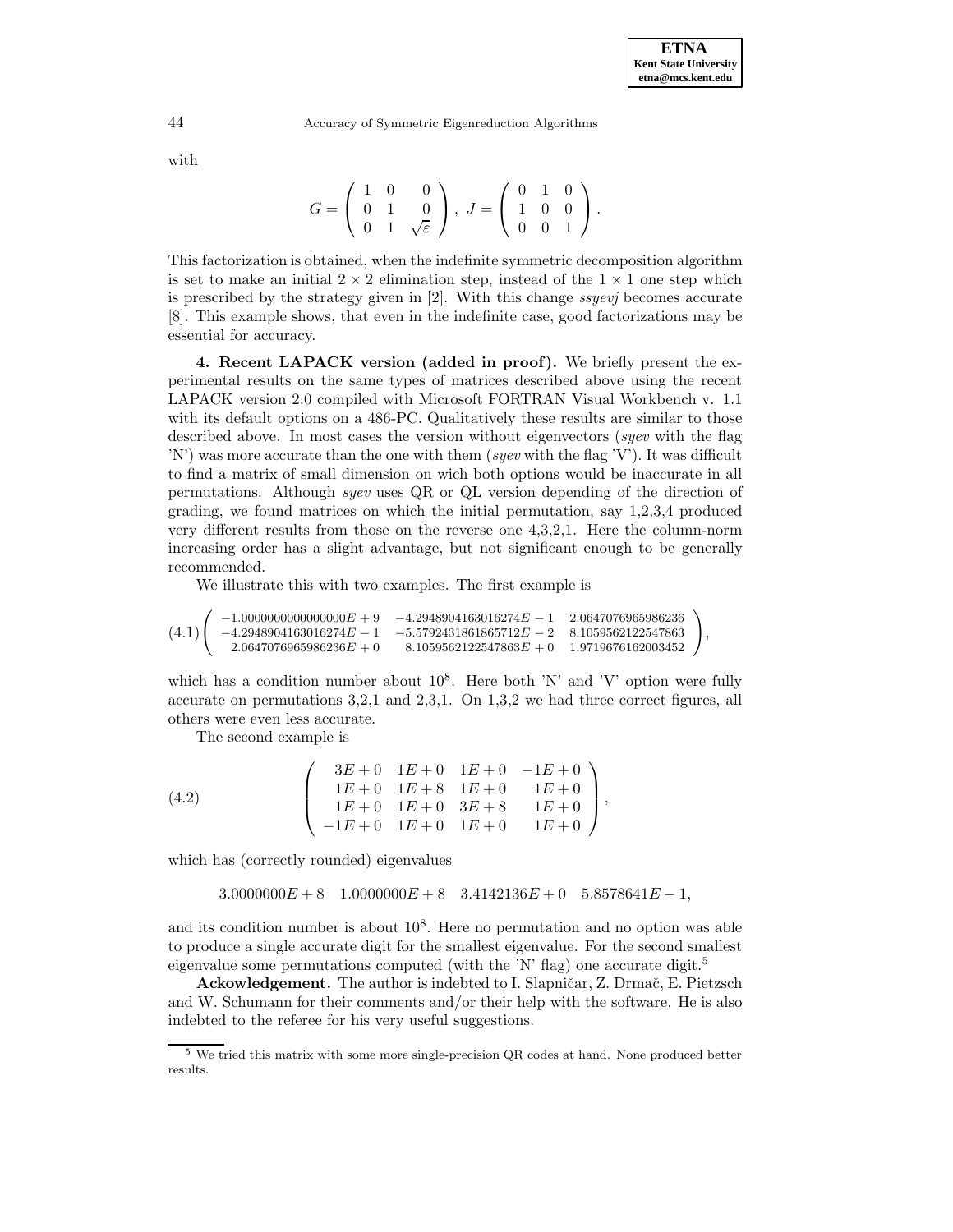with

$$
G = \left(\begin{array}{ccc} 1 & 0 & 0 \\ 0 & 1 & 0 \\ 0 & 1 & \sqrt{\varepsilon} \end{array}\right), \ J = \left(\begin{array}{ccc} 0 & 1 & 0 \\ 1 & 0 & 0 \\ 0 & 0 & 1 \end{array}\right).
$$

This factorization is obtained, when the indefinite symmetric decomposition algorithm is set to make an initial  $2 \times 2$  elimination step, instead of the  $1 \times 1$  one step which is prescribed by the strategy given in [2]. With this change ssyevj becomes accurate [8]. This example shows, that even in the indefinite case, good factorizations may be essential for accuracy.

**4. Recent LAPACK version (added in proof).** We briefly present the experimental results on the same types of matrices described above using the recent LAPACK version 2.0 compiled with Microsoft FORTRAN Visual Workbench v. 1.1 with its default options on a 486-PC. Qualitatively these results are similar to those described above. In most cases the version without eigenvectors (syev with the flag 'N') was more accurate than the one with them (syev with the flag 'V'). It was difficult to find a matrix of small dimension on wich both options would be inaccurate in all permutations. Although syev uses QR or QL version depending of the direction of grading, we found matrices on which the initial permutation, say 1,2,3,4 produced very different results from those on the reverse one 4,3,2,1. Here the column-norm increasing order has a slight advantage, but not significant enough to be generally recommended.

We illustrate this with two examples. The first example is

$$
(4.1) \left( \begin{array}{ccc} -1.0000000000000000 & +9 & -4.2948904163016274E-1 & 2.0647076965986236 \\ -4.2948904163016274E-1 & -5.5792431861865712E-2 & 8.1059562122547863 \\ 2.0647076965986236E+0 & 8.1059562122547863E+0 & 1.9719676162003452 \end{array} \right),
$$

which has a condition number about  $10^8$ . Here both 'N' and 'V' option were fully accurate on permutations 3,2,1 and 2,3,1. On 1,3,2 we had three correct figures, all others were even less accurate.

The second example is

(4.2) 
$$
\begin{pmatrix}\n3E+0 & 1E+0 & 1E+0 & -1E+0 \\
1E+0 & 1E+8 & 1E+0 & 1E+0 \\
1E+0 & 1E+0 & 3E+8 & 1E+0 \\
-1E+0 & 1E+0 & 1E+0 & 1E+0\n\end{pmatrix},
$$

which has (correctly rounded) eigenvalues

$$
3.0000000E + 8 \quad 1.0000000E + 8 \quad 3.4142136E + 0 \quad 5.8578641E - 1,
$$

and its condition number is about  $10<sup>8</sup>$ . Here no permutation and no option was able to produce a single accurate digit for the smallest eigenvalue. For the second smallest eigenvalue some permutations computed (with the 'N' flag) one accurate digit.<sup>5</sup>

**Ackowledgement.** The author is indebted to I. Slapničar, Z. Drmač, E. Pietzsch and W. Schumann for their comments and/or their help with the software. He is also indebted to the referee for his very useful suggestions.

<sup>5</sup> We tried this matrix with some more single-precision QR codes at hand. None produced better results.